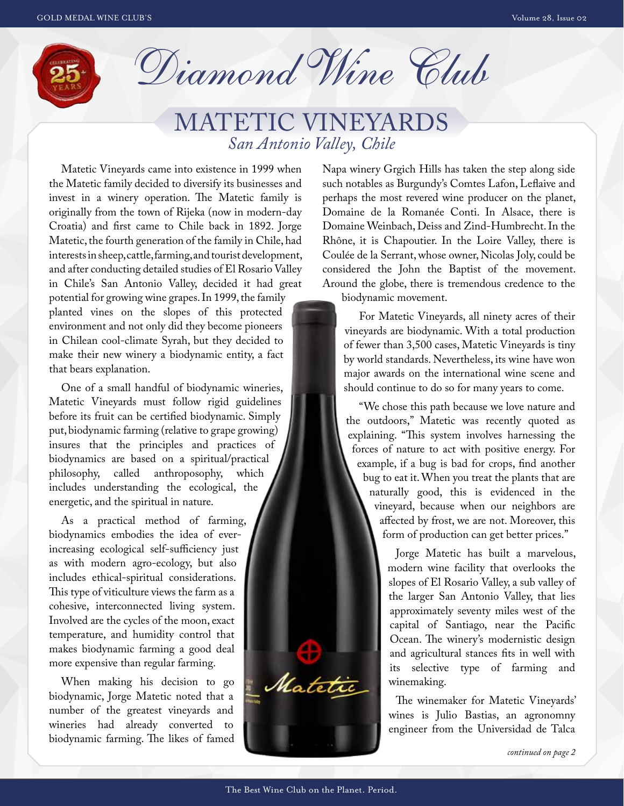

Diamond Wine Club

# MATETIC VINEYARDS *San Antonio Valley, Chile*

Matetic Vineyards came into existence in 1999 when the Matetic family decided to diversify its businesses and invest in a winery operation. The Matetic family is originally from the town of Rijeka (now in modern-day Croatia) and first came to Chile back in 1892. Jorge Matetic, the fourth generation of the family in Chile, had interests in sheep, cattle, farming, and tourist development, and after conducting detailed studies of El Rosario Valley in Chile's San Antonio Valley, decided it had great

potential for growing wine grapes. In 1999, the family planted vines on the slopes of this protected environment and not only did they become pioneers in Chilean cool-climate Syrah, but they decided to make their new winery a biodynamic entity, a fact that bears explanation.

One of a small handful of biodynamic wineries, Matetic Vineyards must follow rigid guidelines before its fruit can be certified biodynamic. Simply put, biodynamic farming (relative to grape growing) insures that the principles and practices of biodynamics are based on a spiritual/practical philosophy, called anthroposophy, which includes understanding the ecological, the energetic, and the spiritual in nature.

As a practical method of farming, biodynamics embodies the idea of everincreasing ecological self-sufficiency just as with modern agro-ecology, but also includes ethical-spiritual considerations. This type of viticulture views the farm as a cohesive, interconnected living system. Involved are the cycles of the moon, exact temperature, and humidity control that makes biodynamic farming a good deal more expensive than regular farming.

When making his decision to go biodynamic, Jorge Matetic noted that a number of the greatest vineyards and wineries had already converted to biodynamic farming. The likes of famed

Napa winery Grgich Hills has taken the step along side such notables as Burgundy's Comtes Lafon, Leflaive and perhaps the most revered wine producer on the planet, Domaine de la Romanée Conti. In Alsace, there is Domaine Weinbach, Deiss and Zind-Humbrecht. In the Rhône, it is Chapoutier. In the Loire Valley, there is Coulée de la Serrant, whose owner, Nicolas Joly, could be considered the John the Baptist of the movement. Around the globe, there is tremendous credence to the

biodynamic movement.

For Matetic Vineyards, all ninety acres of their vineyards are biodynamic. With a total production of fewer than 3,500 cases, Matetic Vineyards is tiny by world standards. Nevertheless, its wine have won major awards on the international wine scene and should continue to do so for many years to come.

"We chose this path because we love nature and the outdoors," Matetic was recently quoted as explaining. "This system involves harnessing the forces of nature to act with positive energy. For example, if a bug is bad for crops, find another bug to eat it. When you treat the plants that are naturally good, this is evidenced in the vineyard, because when our neighbors are affected by frost, we are not. Moreover, this form of production can get better prices."

> Jorge Matetic has built a marvelous, modern wine facility that overlooks the slopes of El Rosario Valley, a sub valley of the larger San Antonio Valley, that lies approximately seventy miles west of the capital of Santiago, near the Pacific Ocean. The winery's modernistic design and agricultural stances fits in well with its selective type of farming and winemaking.

> The winemaker for Matetic Vineyards' wines is Julio Bastias, an agronomny engineer from the Universidad de Talca

Mateti